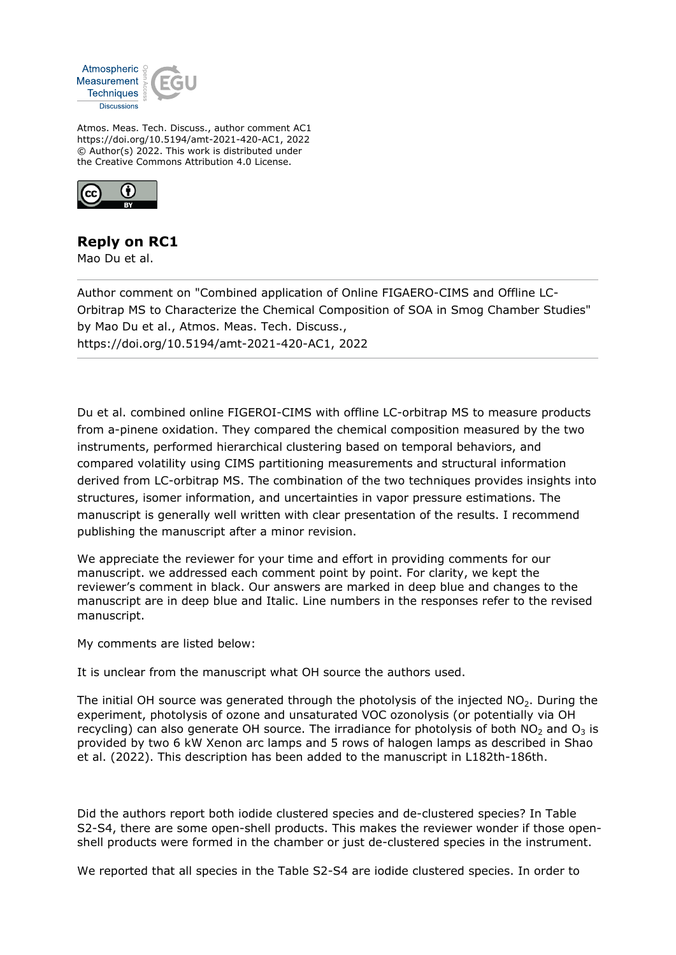

Atmos. Meas. Tech. Discuss., author comment AC1 https://doi.org/10.5194/amt-2021-420-AC1, 2022 © Author(s) 2022. This work is distributed under the Creative Commons Attribution 4.0 License.



## **Reply on RC1**

Mao Du et al.

Author comment on "Combined application of Online FIGAERO-CIMS and Offline LC-Orbitrap MS to Characterize the Chemical Composition of SOA in Smog Chamber Studies" by Mao Du et al., Atmos. Meas. Tech. Discuss., https://doi.org/10.5194/amt-2021-420-AC1, 2022

Du et al. combined online FIGEROI-CIMS with offline LC-orbitrap MS to measure products from a-pinene oxidation. They compared the chemical composition measured by the two instruments, performed hierarchical clustering based on temporal behaviors, and compared volatility using CIMS partitioning measurements and structural information derived from LC-orbitrap MS. The combination of the two techniques provides insights into structures, isomer information, and uncertainties in vapor pressure estimations. The manuscript is generally well written with clear presentation of the results. I recommend publishing the manuscript after a minor revision.

We appreciate the reviewer for your time and effort in providing comments for our manuscript. we addressed each comment point by point. For clarity, we kept the reviewer's comment in black. Our answers are marked in deep blue and changes to the manuscript are in deep blue and Italic. Line numbers in the responses refer to the revised manuscript.

My comments are listed below:

It is unclear from the manuscript what OH source the authors used.

The initial OH source was generated through the photolysis of the injected  $NO<sub>2</sub>$ . During the experiment, photolysis of ozone and unsaturated VOC ozonolysis (or potentially via OH recycling) can also generate OH source. The irradiance for photolysis of both  $NO<sub>2</sub>$  and  $O<sub>3</sub>$  is provided by two 6 kW Xenon arc lamps and 5 rows of halogen lamps as described in Shao et al. (2022). This description has been added to the manuscript in L182th-186th.

Did the authors report both iodide clustered species and de-clustered species? In Table S2-S4, there are some open-shell products. This makes the reviewer wonder if those openshell products were formed in the chamber or just de-clustered species in the instrument.

We reported that all species in the Table S2-S4 are iodide clustered species. In order to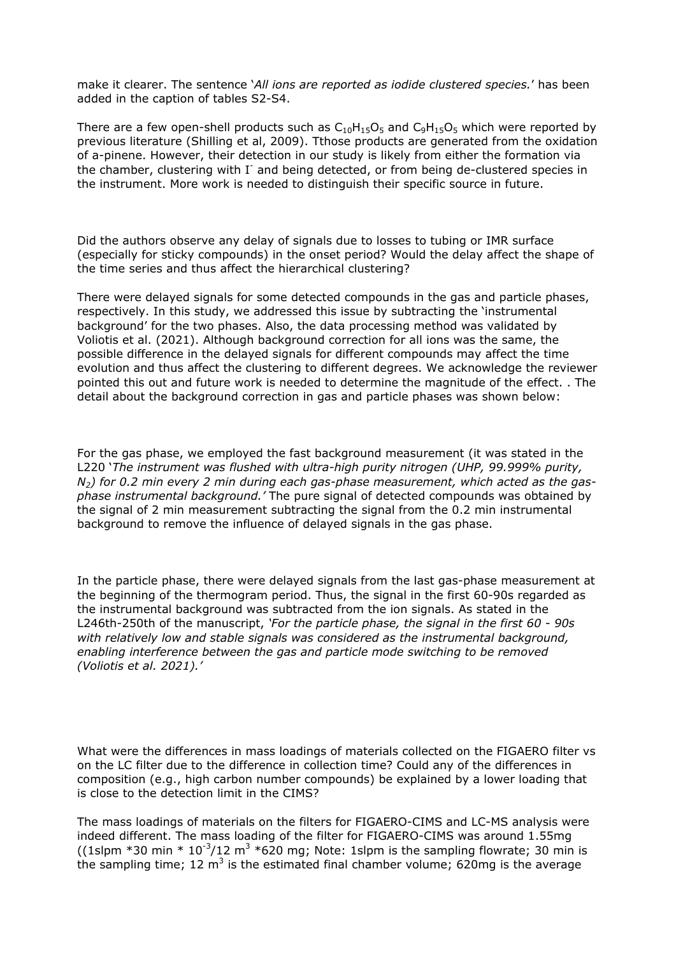make it clearer. The sentence '*All ions are reported as iodide clustered species.*' has been added in the caption of tables S2-S4.

There are a few open-shell products such as  $C_{10}H_{15}O_5$  and  $C_9H_{15}O_5$  which were reported by previous literature (Shilling et al, 2009). Tthose products are generated from the oxidation of a-pinene. However, their detection in our study is likely from either the formation via the chamber, clustering with I<sup>-</sup> and being detected, or from being de-clustered species in the instrument. More work is needed to distinguish their specific source in future.

Did the authors observe any delay of signals due to losses to tubing or IMR surface (especially for sticky compounds) in the onset period? Would the delay affect the shape of the time series and thus affect the hierarchical clustering?

There were delayed signals for some detected compounds in the gas and particle phases, respectively. In this study, we addressed this issue by subtracting the 'instrumental background' for the two phases. Also, the data processing method was validated by Voliotis et al. (2021). Although background correction for all ions was the same, the possible difference in the delayed signals for different compounds may affect the time evolution and thus affect the clustering to different degrees. We acknowledge the reviewer pointed this out and future work is needed to determine the magnitude of the effect. . The detail about the background correction in gas and particle phases was shown below:

For the gas phase, we employed the fast background measurement (it was stated in the L220 '*The instrument was flushed with ultra-high purity nitrogen (UHP, 99.999% purity, N2) for 0.2 min every 2 min during each gas-phase measurement, which acted as the gasphase instrumental background.'* The pure signal of detected compounds was obtained by the signal of 2 min measurement subtracting the signal from the 0.2 min instrumental background to remove the influence of delayed signals in the gas phase.

In the particle phase, there were delayed signals from the last gas-phase measurement at the beginning of the thermogram period. Thus, the signal in the first 60-90s regarded as the instrumental background was subtracted from the ion signals. As stated in the L246th-250th of the manuscript, *'For the particle phase, the signal in the first 60 - 90s with relatively low and stable signals was considered as the instrumental background, enabling interference between the gas and particle mode switching to be removed (Voliotis et al. 2021).'*

What were the differences in mass loadings of materials collected on the FIGAERO filter vs on the LC filter due to the difference in collection time? Could any of the differences in composition (e.g., high carbon number compounds) be explained by a lower loading that is close to the detection limit in the CIMS?

The mass loadings of materials on the filters for FIGAERO-CIMS and LC-MS analysis were indeed different. The mass loading of the filter for FIGAERO-CIMS was around 1.55mg ((1slpm \*30 min \*  $10^{-3}/12$  m<sup>3</sup> \*620 mg; Note: 1slpm is the sampling flowrate; 30 min is the sampling time; 12 m<sup>3</sup> is the estimated final chamber volume; 620mg is the average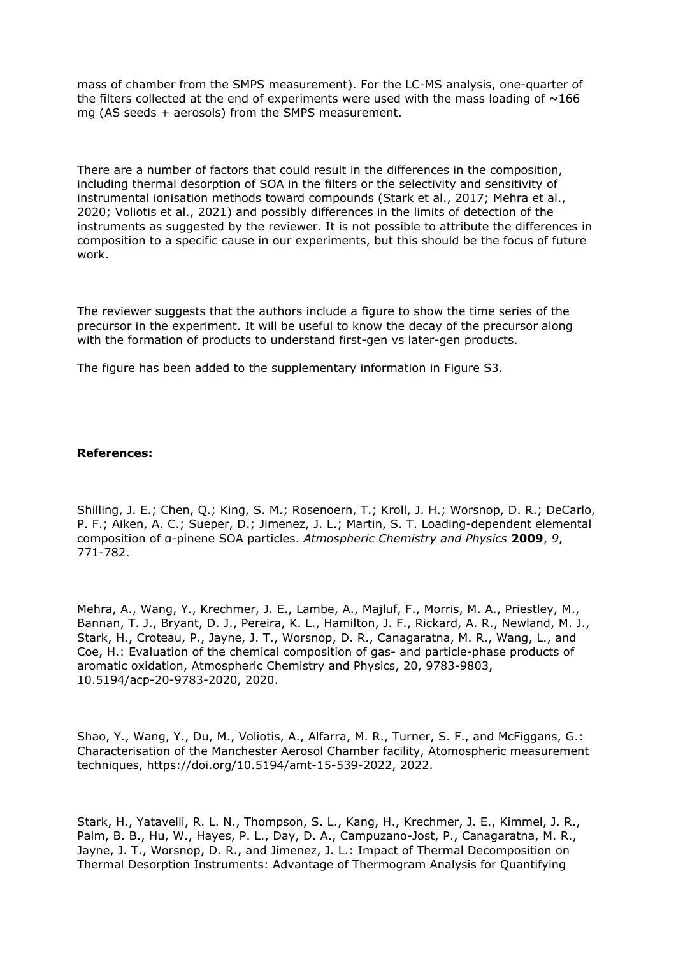mass of chamber from the SMPS measurement). For the LC-MS analysis, one-quarter of the filters collected at the end of experiments were used with the mass loading of  $\sim$ 166 mg (AS seeds + aerosols) from the SMPS measurement.

There are a number of factors that could result in the differences in the composition, including thermal desorption of SOA in the filters or the selectivity and sensitivity of instrumental ionisation methods toward compounds (Stark et al., 2017; Mehra et al., 2020; Voliotis et al., 2021) and possibly differences in the limits of detection of the instruments as suggested by the reviewer. It is not possible to attribute the differences in composition to a specific cause in our experiments, but this should be the focus of future work.

The reviewer suggests that the authors include a figure to show the time series of the precursor in the experiment. It will be useful to know the decay of the precursor along with the formation of products to understand first-gen vs later-gen products.

The figure has been added to the supplementary information in Figure S3.

## **References:**

Shilling, J. E.; Chen, Q.; King, S. M.; Rosenoern, T.; Kroll, J. H.; Worsnop, D. R.; DeCarlo, P. F.; Aiken, A. C.; Sueper, D.; Jimenez, J. L.; Martin, S. T. Loading-dependent elemental composition of α-pinene SOA particles. *Atmospheric Chemistry and Physics* **2009**, *9*, 771-782.

Mehra, A., Wang, Y., Krechmer, J. E., Lambe, A., Majluf, F., Morris, M. A., Priestley, M., Bannan, T. J., Bryant, D. J., Pereira, K. L., Hamilton, J. F., Rickard, A. R., Newland, M. J., Stark, H., Croteau, P., Jayne, J. T., Worsnop, D. R., Canagaratna, M. R., Wang, L., and Coe, H.: Evaluation of the chemical composition of gas- and particle-phase products of aromatic oxidation, Atmospheric Chemistry and Physics, 20, 9783-9803, 10.5194/acp-20-9783-2020, 2020.

Shao, Y., Wang, Y., Du, M., Voliotis, A., Alfarra, M. R., Turner, S. F., and McFiggans, G.: Characterisation of the Manchester Aerosol Chamber facility, Atomospheric measurement techniques, https://doi.org/10.5194/amt-15-539-2022, 2022.

Stark, H., Yatavelli, R. L. N., Thompson, S. L., Kang, H., Krechmer, J. E., Kimmel, J. R., Palm, B. B., Hu, W., Hayes, P. L., Day, D. A., Campuzano-Jost, P., Canagaratna, M. R., Jayne, J. T., Worsnop, D. R., and Jimenez, J. L.: Impact of Thermal Decomposition on Thermal Desorption Instruments: Advantage of Thermogram Analysis for Quantifying